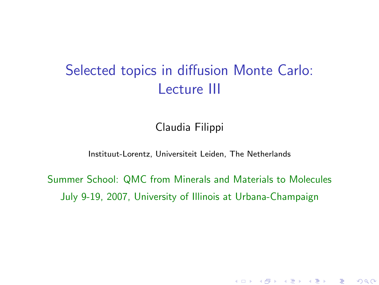# Selected topics in diffusion Monte Carlo: Lecture III

Claudia Filippi

Instituut-Lorentz, Universiteit Leiden, The Netherlands

<span id="page-0-0"></span>Summer School: QMC from Minerals and Materials to Molecules July 9-19, 2007, University of Illinois at Urbana-Champaign

(ロ) (御) (唐) (唐) (唐) 2000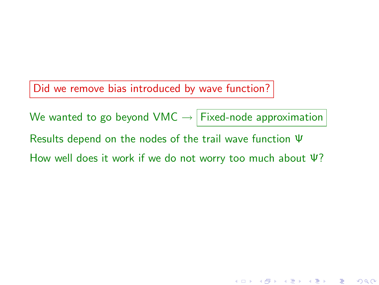Did we remove bias introduced by wave function?

We wanted to go beyond VMC  $\rightarrow$  Fixed-node approximation Results depend on the nodes of the trail wave function Ψ How well does it work if we do not worry too much about Ψ?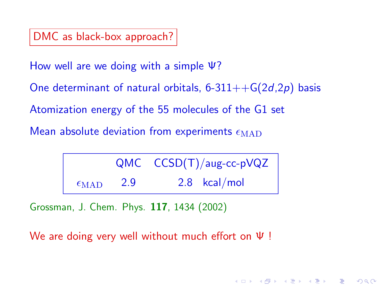DMC as black-box approach?

How well are we doing with a simple Ψ?

One determinant of natural orbitals,  $6-311++G(2d,2p)$  basis

Atomization energy of the 55 molecules of the G1 set

Mean absolute deviation from experiments  $\epsilon_{\rm MAD}$ 

|                      |     | $QMC$ $CCSD(T)/aug-cc-pVQZ$ |  |
|----------------------|-----|-----------------------------|--|
| $\epsilon_{\rm MAD}$ | 2.9 | $2.8$ kcal/mol              |  |

(ロ) (個) (星) (星)

 $299$ 

准

Grossman, J. Chem. Phys. 117, 1434 (2002)

We are doing very well without much effort on Ψ !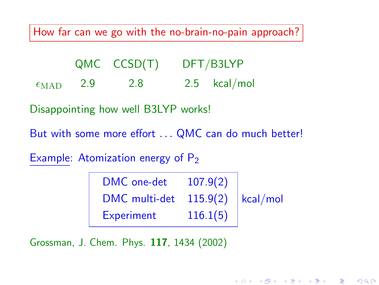How far can we go with the no-brain-no-pain approach?

|                      |     | $QMC$ $CCSD(T)$ | DFT/B3LYP      |
|----------------------|-----|-----------------|----------------|
| $\epsilon_{\rm MAD}$ | 2.9 | 2.8             | $2.5$ kcal/mol |

Disappointing how well B3LYP works!

But with some more effort . . . QMC can do much better!

Example: Atomization energy of  $P_2$ 

| DMC one-det   | 107.9(2)              |  |
|---------------|-----------------------|--|
| DMC multi-det | $115.9(2)$   kcal/mol |  |
| Experiment    | 116.1(5)              |  |

Grossman, J. Chem. Phys. 117, 1434 (2002)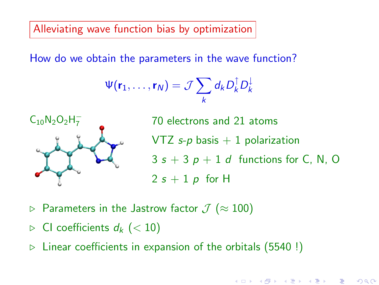Alleviating wave function bias by optimization

How do we obtain the parameters in the wave function?

$$
\Psi(\mathbf{r}_1,\ldots,\mathbf{r}_N)=\mathcal{J}\sum_k d_k D_k^{\dagger} D_k^{\perp}
$$



<sup>7</sup> 70 electrons and 21 atoms VTZ  $s-p$  basis  $+1$  polarization  $3 s + 3 p + 1 d$  functions for C, N, O  $2 s + 1 p$  for H

(ロ) (個) (星) (星)

准

 $2Q$ 

- **▷ Parameters in the Jastrow factor**  $\mathcal{J}$  ( $\approx$  100)
- $\triangleright$  CI coefficients  $d_k$  (< 10)
- $\triangleright$  Linear coefficients in expansion of the orbitals (5540!)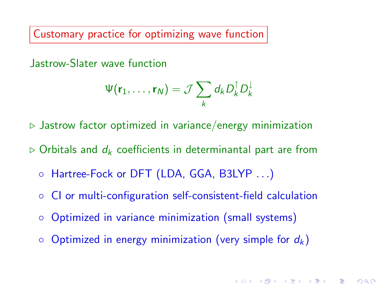Customary practice for optimizing wave function

Jastrow-Slater wave function

$$
\Psi(\mathbf{r}_1,\ldots,\mathbf{r}_N)=\mathcal{J}\sum_k d_k D_k^{\uparrow} D_k^{\downarrow}
$$

 $\triangleright$  Jastrow factor optimized in variance/energy minimization

 $\triangleright$  Orbitals and  $d_k$  coefficients in determinantal part are from

- Hartree-Fock or DFT (LDA, GGA, B3LYP . . .)
- CI or multi-configuration self-consistent-field calculation
- Optimized in variance minimization (small systems)
- $\circ$  Optimized in energy minimization (very simple for  $d_k$ )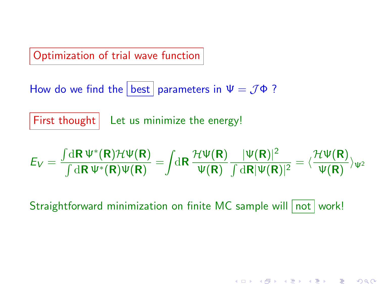Optimization of trial wave function

How do we find the best parameters in  $\Psi = \mathcal{J}\Phi$  ?

First thought | Let us minimize the energy!

$$
E_V=\frac{\int\! \mathrm{d}\mathbf{R}\, \Psi^*(\mathbf{R})\mathcal{H}\Psi(\mathbf{R})}{\int\, \mathrm{d}\mathbf{R}\, \Psi^*(\mathbf{R})\Psi(\mathbf{R})}=\!\!\int\! \mathrm{d}\mathbf{R}\, \frac{\mathcal{H}\Psi(\mathbf{R})}{\Psi(\mathbf{R})}\frac{|\Psi(\mathbf{R})|^2}{\int\, \mathrm{d}\mathbf{R}|\Psi(\mathbf{R})|^2}=\langle\frac{\mathcal{H}\Psi(\mathbf{R})}{\Psi(\mathbf{R})}\rangle_{\Psi^2}
$$

メロト メ御 トメ 君 トメ 君 トッ 君 い

 $299$ 

Straightforward minimization on finite MC sample will not work!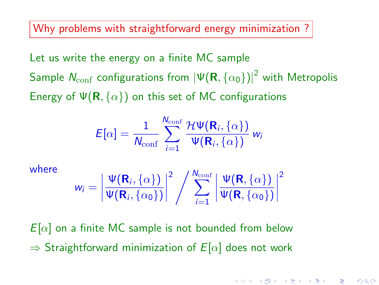Why problems with straightforward energy minimization?

Let us write the energy on a finite MC sample Sample  $\mathcal{N}_{\mathrm{conf}}$  configurations from  $\left|\Psi(\mathsf{R},\{\alpha_0\})\right|^2$  with Metropolis Energy of  $\Psi(\mathbf{R}, \{\alpha\})$  on this set of MC configurations

$$
E[\alpha] = \frac{1}{N_{\text{conf}}} \sum_{i=1}^{N_{\text{conf}}} \frac{\mathcal{H}\Psi(\mathbf{R}_i, \{\alpha\})}{\Psi(\mathbf{R}_i, \{\alpha\})} w_i
$$

where

$$
w_i = \left| \frac{\Psi(\mathbf{R}_i, \{\alpha\})}{\Psi(\mathbf{R}_i, \{\alpha_0\})} \right|^2 / \sum_{i=1}^{N_{\text{conf}}} \left| \frac{\Psi(\mathbf{R}, \{\alpha\})}{\Psi(\mathbf{R}, \{\alpha_0\})} \right|^2
$$

 $E[\alpha]$  on a finite MC sample is not bounded from below  $\Rightarrow$  Straightforward minimization of  $E[\alpha]$  does not work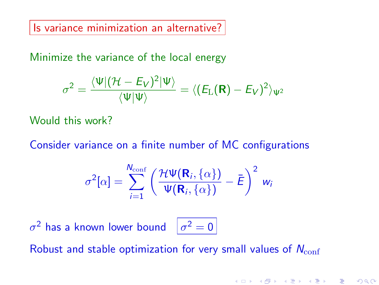Is variance minimization an alternative?

Minimize the variance of the local energy

$$
\sigma^2 = \frac{\langle \Psi | (\mathcal{H} - E_V)^2 | \Psi \rangle}{\langle \Psi | \Psi \rangle} = \langle (E_\text{L}(\textbf{R}) - E_V)^2 \rangle_{\Psi^2}
$$

Would this work?

Consider variance on a finite number of MC configurations

$$
\sigma^{2}[\alpha] = \sum_{i=1}^{N_{\text{conf}}} \left( \frac{\mathcal{H}\Psi(\mathbf{R}_{i}, \{\alpha\})}{\Psi(\mathbf{R}_{i}, \{\alpha\})} - \bar{E} \right)^{2} w_{i}
$$

 $\sigma^2$  has a known lower bound  $\begin{array}{c} \mid\sigma^2=0 \end{array}$ 

Robust and stable optimization for very small values of  $N_{\text{conf}}$ 

K ロ ▶ K 레 ▶ | K 회 ▶ | K 환 ▶ │ 환 │ ⊙ Q Q ⊙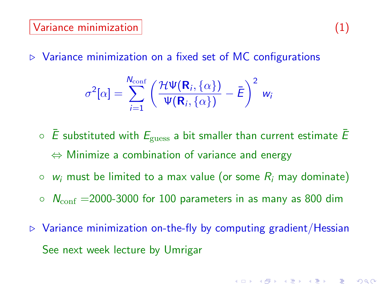$\triangleright$  Variance minimization on a fixed set of MC configurations

$$
\sigma^{2}[\alpha] = \sum_{i=1}^{N_{\text{conf}}} \left( \frac{\mathcal{H}\Psi(\mathbf{R}_{i}, \{\alpha\})}{\Psi(\mathbf{R}_{i}, \{\alpha\})} - \bar{E} \right)^{2} w_{i}
$$

- $\circ$   $\overline{E}$  substituted with  $E_{\text{guess}}$  a bit smaller than current estimate  $\overline{E}$  $\Leftrightarrow$  Minimize a combination of variance and energy
- $\circ$  w<sub>i</sub> must be limited to a max value (or some  $R_i$  may dominate)
- $\circ$   $N_{\text{conf}} = 2000$ -3000 for 100 parameters in as many as 800 dim
- $\triangleright$  Variance minimization on-the-fly by computing gradient/Hessian See next week lecture by Umrigar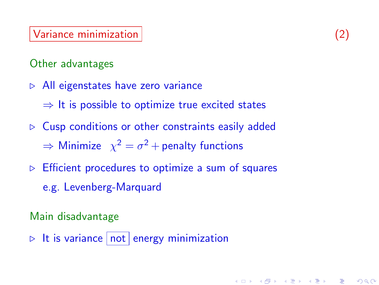## Variance minimization (2)

# Other advantages

- $\triangleright$  All eigenstates have zero variance
	- $\Rightarrow$  It is possible to optimize true excited states
- $\triangleright$  Cusp conditions or other constraints easily added  $\Rightarrow$  Minimize  $\chi^2 = \sigma^2 +$  penalty functions
- $\triangleright$  Efficient procedures to optimize a sum of squares
	- e.g. Levenberg-Marquard

# Main disadvantage

 $\triangleright$  It is variance not energy minimization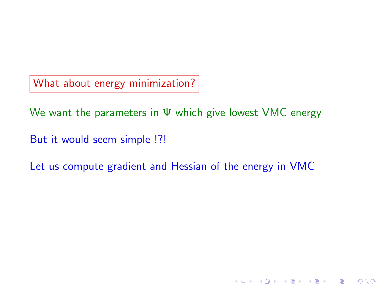What about energy minimization?

We want the parameters in Ψ which give lowest VMC energy

But it would seem simple !?!

Let us compute gradient and Hessian of the energy in VMC

세미 시세 제품 시 제품 시 제품 시 시 품 시

 $2Q$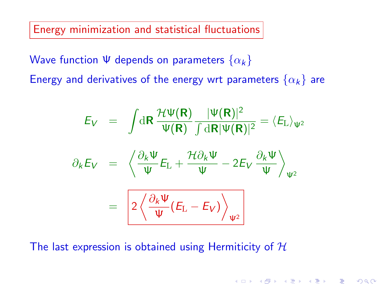Energy minimization and statistical fluctuations

Wave function  $\Psi$  depends on parameters  $\{\alpha_k\}$ Energy and derivatives of the energy wrt parameters  $\{\alpha_k\}$  are

$$
E_V = \int dR \frac{\mathcal{H}\Psi(\mathbf{R})}{\Psi(\mathbf{R})} \frac{|\Psi(\mathbf{R})|^2}{\int dR |\Psi(\mathbf{R})|^2} = \langle E_L \rangle_{\Psi^2}
$$

$$
\partial_k E_V = \left\langle \frac{\partial_k \Psi}{\Psi} E_L + \frac{\mathcal{H}\partial_k \Psi}{\Psi} - 2E_V \frac{\partial_k \Psi}{\Psi} \right\rangle_{\Psi^2}
$$

$$
= \left[ 2 \left\langle \frac{\partial_k \Psi}{\Psi} (E_L - E_V) \right\rangle_{\Psi^2} \right]
$$

The last expression is obtained using Hermiticity of  $H$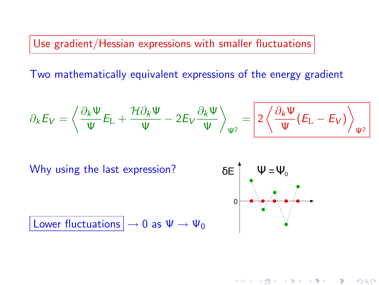Use gradient/Hessian expressions with smaller fluctuations

Two mathematically equivalent expressions of the energy gradient

$$
\partial_k E_V = \left\langle \frac{\partial_k \Psi}{\Psi} E_{\mathrm{L}} + \frac{\mathcal{H} \partial_k \Psi}{\Psi} - 2 E_V \frac{\partial_k \Psi}{\Psi} \right\rangle_{\Psi^2} = \left[ 2 \left\langle \frac{\partial_k \Psi}{\Psi} (E_{\mathrm{L}} - E_V) \right\rangle_{\Psi^2} \right]
$$

Why using the last expression?



K ロ ▶ (K @ ) (K @ ) (高 )

 $2Q$ 

Lower fluctuations  $|\rightarrow 0$  as  $\Psi \rightarrow \Psi_0$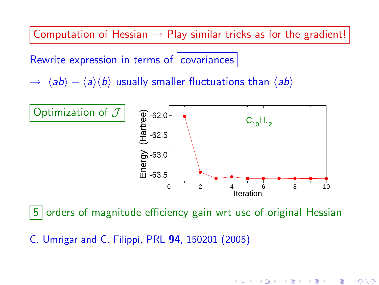Computation of Hessian  $\rightarrow$  Play similar tricks as for the gradient!

Rewrite expression in terms of covariances

 $\rightarrow \langle ab \rangle - \langle a \rangle \langle b \rangle$  usually smaller fluctuations than  $\langle ab \rangle$ 



5 orders of magnitude efficiency gain wrt use of original Hessian

C. Umrigar and C. Filippi, PRL 94, 150201 (2005)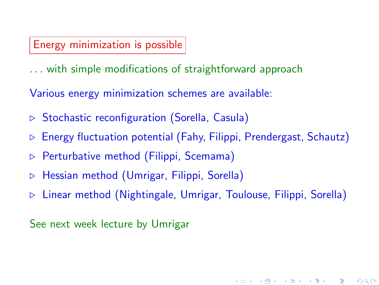# Energy minimization is possible

. . . with simple modifications of straightforward approach

Various energy minimization schemes are available:

- $\triangleright$  Stochastic reconfiguration (Sorella, Casula)
- $\triangleright$  Energy fluctuation potential (Fahy, Filippi, Prendergast, Schautz)
- $\triangleright$  Perturbative method (Filippi, Scemama)
- $\triangleright$  Hessian method (Umrigar, Filippi, Sorella)
- . Linear method (Nightingale, Umrigar, Toulouse, Filippi, Sorella)

K ロ K K @ K K X 할 K K 할 K ( 할 K )

 $2Q$ 

See next week lecture by Umrigar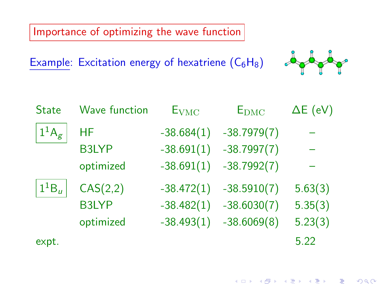Importance of optimizing the wave function

Example: Excitation energy of hexatriene  $(C_6H_8)$ 



| <b>State</b>                                            | <b>Wave function</b> | $E_{VMC}$    | $E_{\rm DMC}$ | $\Delta E$ (eV) |
|---------------------------------------------------------|----------------------|--------------|---------------|-----------------|
| $\frac{1}{4}$ $A_g$ <sup><math>\frac{1}{2}</math></sup> | НF                   | $-38.684(1)$ | $-38.7979(7)$ |                 |
|                                                         | <b>B3LYP</b>         | $-38.691(1)$ | $-38.7997(7)$ |                 |
|                                                         | optimized            | $-38.691(1)$ | $-38.7992(7)$ |                 |
| $1^1B_u$                                                | CAS(2,2)             | $-38.472(1)$ | $-38.5910(7)$ | 5.63(3)         |
|                                                         | <b>B3LYP</b>         | $-38.482(1)$ | $-38.6030(7)$ | 5.35(3)         |
|                                                         | optimized            | $-38.493(1)$ | $-38.6069(8)$ | 5.23(3)         |
| expt.                                                   |                      |              |               | 5.22            |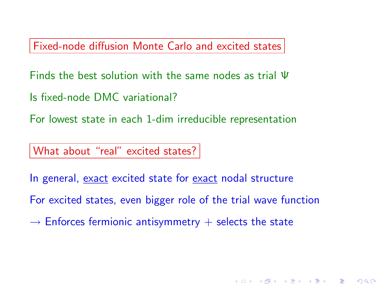Fixed-node diffusion Monte Carlo and excited states

Finds the best solution with the same nodes as trial Ψ

Is fixed-node DMC variational?

For lowest state in each 1-dim irreducible representation

What about "real" excited states?

In general, exact excited state for exact nodal structure

For excited states, even bigger role of the trial wave function

K ロ ▶ K 레 ▶ K 제 라 X 제 라 사 제 라 다 가 되어 주시다.

 $\rightarrow$  Enforces fermionic antisymmetry  $+$  selects the state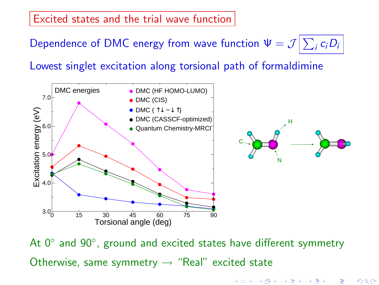Excited states and the trial wave function

Dependence of DMC energy from wave function  $\Psi = \mathcal{J} \big| \sum_i c_i D_i$ 

Lowest singlet excitation along torsional path of formaldimine



At 0<sup>°</sup> and 90<sup>°</sup>, ground and excited states have different symmetry Otherwise, same symmetry  $\rightarrow$  "Real" excited state

(ロ) (個) (星) (星)

 $2Q$ 

一種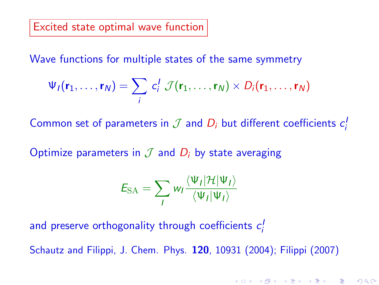### Excited state optimal wave function

Wave functions for multiple states of the same symmetry

$$
\Psi_I(\mathbf{r}_1,\ldots,\mathbf{r}_N)=\sum_i\,c_i^I\,\mathcal{J}(\mathbf{r}_1,\ldots,\mathbf{r}_N)\times D_i(\mathbf{r}_1,\ldots,\mathbf{r}_N)
$$

Common set of parameters in  $\mathcal J$  and  $D_i$  but different coefficients  $c_i^j$ 

Optimize parameters in  $\mathcal J$  and  $D_i$  by state averaging

$$
E_{\text{SA}} = \sum_{I} w_{I} \frac{\langle \Psi_{I} | \mathcal{H} | \Psi_{I} \rangle}{\langle \Psi_{I} | \Psi_{I} \rangle}
$$

and preserve orthogonality through coefficients  $c_i^{\prime}$ 

Schautz and Filippi, J. Chem. Phys. 120, 10931 (2004); Filippi (2007)

K ロ K K 御 K K W B K W B K W B B

 $2Q$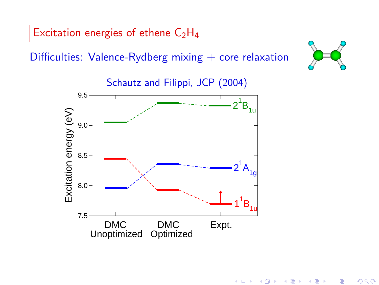Excitation energies of ethene  $C_2H_4$ 

Difficulties: Valence-Rydberg mixing  $+$  core relaxation



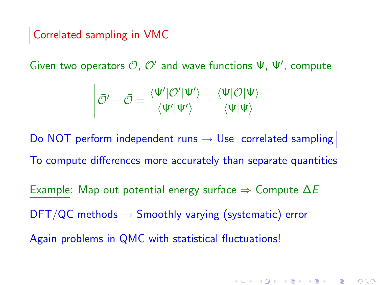Correlated sampling in VMC

Given two operators  $O, O'$  and wave functions  $\Psi, \Psi',$  compute

$$
\overline{\tilde{\mathcal{O}}'}-\bar{\mathcal{O}}=\frac{\langle\Psi'|\mathcal{O}'|\Psi'\rangle}{\langle\Psi'|\Psi'\rangle}-\frac{\langle\Psi|\mathcal{O}|\Psi\rangle}{\langle\Psi|\Psi\rangle}
$$

Do NOT perform independent runs  $\rightarrow$  Use correlated sampling

To compute differences more accurately than separate quantities

K ロ X K @ X X B X X B X → B

 $299$ 

Example: Map out potential energy surface  $\Rightarrow$  Compute  $\Delta E$ 

 $\text{DFT}/\text{QC}$  methods  $\rightarrow$  Smoothly varying (systematic) error

Again problems in QMC with statistical fluctuations!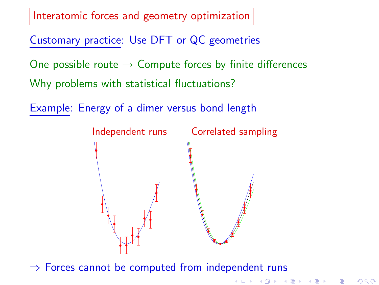Interatomic forces and geometry optimization

Customary practice: Use DFT or QC geometries

One possible route  $\rightarrow$  Compute forces by finite differences

Why problems with statistical fluctuations?

Example: Energy of a dimer versus bond length



K ロ K K 御 K K W B K W B K W B B

 $2Q$ 

 $\Rightarrow$  Forces cannot be computed from independent runs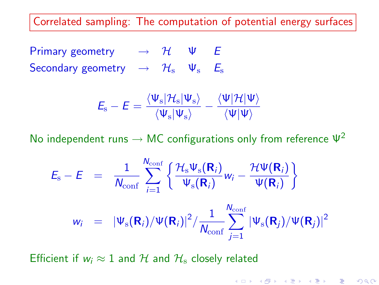Correlated sampling: The computation of potential energy surfaces

Primary geometry  $\rightarrow$   $\mathcal{H}$   $\Psi$   $E$ Secondary geometry  $\rightarrow$   $\mathcal{H}_s$   $\Psi_s$   $E_s$ 

$$
\mathit{E}_{\mathrm{s}}-\mathit{E}=\frac{\langle\Psi_{\mathrm{s}}|\mathcal{H}_{\mathrm{s}}|\Psi_{\mathrm{s}}\rangle}{\langle\Psi_{\mathrm{s}}|\Psi_{\mathrm{s}}\rangle}-\frac{\langle\Psi|\mathcal{H}|\Psi\rangle}{\langle\Psi|\Psi\rangle}
$$

No independent runs  $\rightarrow$  MC configurations only from reference  $\Psi^2$ 

$$
E_{\rm s}-E = \frac{1}{N_{\rm conf}}\sum_{i=1}^{N_{\rm conf}}\left\{\frac{\mathcal{H}_{\rm s}\Psi_{\rm s}(\mathbf{R}_i)}{\Psi_{\rm s}(\mathbf{R}_i)}w_i-\frac{\mathcal{H}\Psi(\mathbf{R}_i)}{\Psi(\mathbf{R}_i)}\right\}
$$

$$
w_i = |\Psi_{\rm s}(\mathbf{R}_i)/\Psi(\mathbf{R}_i)|^2/\frac{1}{N_{\rm conf}}\sum_{j=1}^{N_{\rm conf}}|\Psi_{\rm s}(\mathbf{R}_j)/\Psi(\mathbf{R}_j)|^2
$$

Efficient if  $w_i \approx 1$  and H and  $H_s$  closely related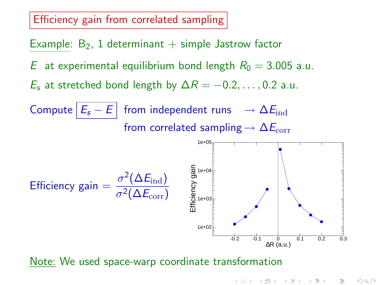### Efficiency gain from correlated sampling

Example:  $B_2$ , 1 determinant  $+$  simple Jastrow factor E at experimental equilibrium bond length  $R_0 = 3.005$  a.u.  $E_s$  at stretched bond length by  $\Delta R = -0.2, \ldots, 0.2$  a.u. Compute  $E_s - E$  from independent runs  $\rightarrow \Delta E_{\text{ind}}$ from correlated sampling  $\rightarrow \Delta E_{corr}$ Efficiency gain =  $\frac{\sigma^2(\Delta E_{\text{ind}})}{2(0.5)}$  $\sigma^2(\Delta E_{\rm corr})$ -0.2 -0.1 0 0.1 0.2 0.3 ∆R (a.u.) 1e+02 1e+03 Efficiency gain<br>
<sup>1e+04</sup><br>
<sub>1e+03</sub><br>
<sub>1e+03</sub> 1e+05

#### Note: We used space-warp coordinate transformation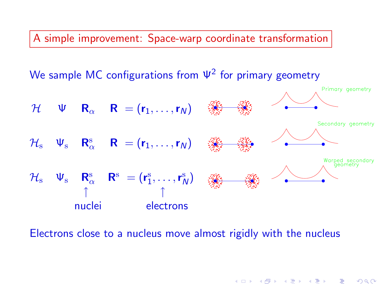A simple improvement: Space-warp coordinate transformation

We sample MC configurations from  $\Psi^2$  for primary geometry



イロト イ母ト イミト イミト 一毛

 $2Q$ 

Electrons close to a nucleus move almost rigidly with the nucleus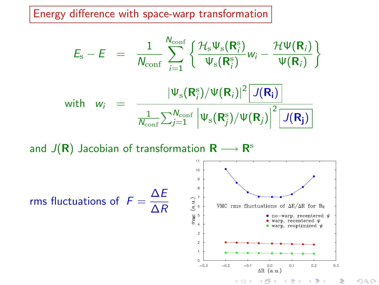Energy difference with space-warp transformation

$$
E_{\rm s}-E = \frac{1}{N_{\rm conf}}\sum_{i=1}^{N_{\rm conf}}\left\{\frac{\mathcal{H}_{\rm s}\Psi_{\rm s}(\mathbf{R}_{i}^{\rm s})}{\Psi_{\rm s}(\mathbf{R}_{i}^{\rm s})}w_{i}-\frac{\mathcal{H}\Psi(\mathbf{R}_{i})}{\Psi(\mathbf{R}_{i})}\right\}
$$
\nwith  $w_{i} = \frac{|\Psi_{\rm s}(\mathbf{R}_{i}^{\rm s})/\Psi(\mathbf{R}_{i})|^{2}\left[J(\mathbf{R}_{i})\right]}{\frac{1}{N_{\rm conf}}\sum_{j=1}^{N_{\rm conf}}\left|\Psi_{\rm s}(\mathbf{R}_{j}^{\rm s})/\Psi(\mathbf{R}_{j})\right|^{2}\left[J(\mathbf{R}_{j})\right]}$ 

and  $J({\bm R})$  Jacobian of transformation  ${\bm R} \longrightarrow {\bm R}^{\rm s}$ 





つくい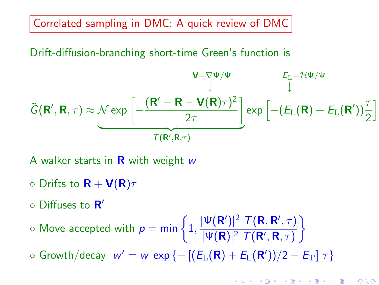Correlated sampling in DMC: A quick review of DMC

Drift-diffusion-branching short-time Green's function is

$$
\tilde{G}(\mathbf{R}',\mathbf{R},\tau) \approx \underbrace{\mathcal{N} \exp \left[-\frac{(\mathbf{R}' - \mathbf{R} - \mathbf{V}(\mathbf{R})\tau)^2}{2\tau}\right]}_{\mathcal{T}(\mathbf{R}',\mathbf{R},\tau)} \exp \left[-(E_{\mathrm{L}}(\mathbf{R}) + E_{\mathrm{L}}(\mathbf{R}'))\frac{\tau}{2}\right]
$$

A walker starts in  $\bf{R}$  with weight w

- $\circ$  Drifts to  $\mathbf{R} + \mathbf{V}(\mathbf{R})\tau$
- Diffuses to R'

 $\circ$  Move accepted with  $p = \min\left\{1, \frac{|\Psi(\mathbf{R}')|^2 \ T(\mathbf{R}, \mathbf{R}', \tau)}{|\Psi(\mathbf{R})|^2 \ T(\mathbf{R}', \mathbf{R}', \tau)}\right\}$  $|\Psi(\mathbf{R})|^2$   $\mathcal{T}(\mathbf{R}',\mathbf{R},\tau)$  $\mathcal{L}$ 

 $\circ$  Growth/decay  $w' = w \exp \{-[(E_L(\mathbf{R}) + E_L(\mathbf{R}'))/2 - E_T] \tau\}$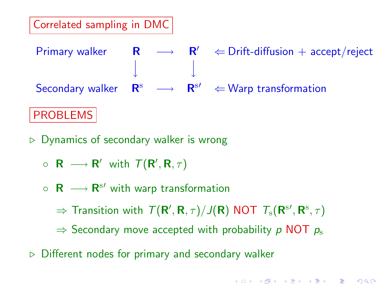# Correlated sampling in DMC

Primary walker  $\mathsf{R} \longrightarrow \mathsf{R}' \Leftrightarrow$  Drift-diffusion + accept/reject ←− ←− Secondary walker  $\mathbb{R}^s$   $\longrightarrow$   $\mathbb{R}^{s}$   $\Leftarrow$  Warp transformation

# PROBLEMS

- $\triangleright$  Dynamics of secondary walker is wrong
	- $\circ$  **R**  $\longrightarrow$  **R'** with  $\mathcal{T}(\mathsf{R}',\mathsf{R},\tau)$
	- $\circ$  **R**  $\longrightarrow$  **R**<sup>s'</sup> with warp transformation

 $\Rightarrow$  Transition with  $T({\sf R}',{\sf R},\tau)/J({\sf R})$  NOT  $T_{\rm s}({\sf R}^{\rm s\prime},{\sf R}^{\rm s},\tau)$ 

- $\Rightarrow$  Secondary move accepted with probability p NOT  $p_s$
- $\triangleright$  Different nodes for primary and secondary walker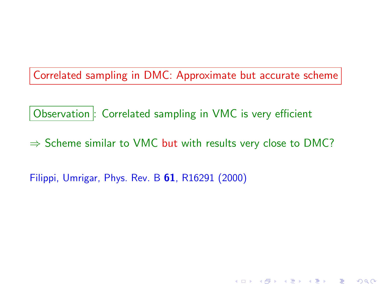Correlated sampling in DMC: Approximate but accurate scheme

Observation : Correlated sampling in VMC is very efficient

 $\Rightarrow$  Scheme similar to VMC but with results very close to DMC?

メロト メ御 トメ 君 トメ 君 トッ 君 い

 $2Q$ 

Filippi, Umrigar, Phys. Rev. B 61, R16291 (2000)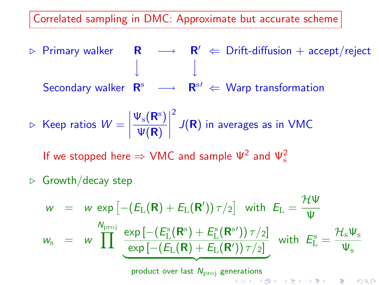Correlated sampling in DMC: Approximate but accurate scheme

 $\triangleright$  Primary walker  $\quad$  R  $\quad$   $\longrightarrow$   $\quad$  R'  $\Leftarrow$  Drift-diffusion  $+$  accept/reject ←− ←− Secondary walker  $\mathbb{R}^s$   $\longrightarrow$   $\mathbb{R}^{s'} \Leftarrow$  Warp transformation

$$
\triangleright \text{ Keep ratios } W = \left| \frac{\Psi_{\rm s}(\mathbf{R}^{\rm s})}{\Psi(\mathbf{R})} \right|^2 J(\mathbf{R}) \text{ in averages as in VMC}
$$

If we stopped here  $\Rightarrow$  VMC and sample  $\Psi^2$  and  $\Psi^2_{\rm s}$ 

 $\triangleright$  Growth/decay step

$$
w = w \exp \left[-\left(E_{\rm L}(\mathbf{R}) + E_{\rm L}(\mathbf{R}')\right) \tau/2\right] \text{ with } E_{\rm L} = \frac{\mathcal{H}\Psi}{\Psi}
$$
  

$$
w_{\rm s} = w \prod^{\text{N}_{\rm proj}} \frac{\exp \left[-\left(E_{\rm L}^{\rm s}(\mathbf{R}^{\rm s}) + E_{\rm L}^{\rm s}(\mathbf{R}^{\rm s}')\right) \tau/2\right]}{\exp \left[-\left(E_{\rm L}(\mathbf{R}) + E_{\rm L}(\mathbf{R}')\right) \tau/2\right]} \text{ with } E_{\rm L}^{\rm s} = \frac{\mathcal{H}_{\rm s}\Psi_{\rm s}}{\Psi_{\rm s}}
$$
  
product over last  $N_{\rm proj}$  generations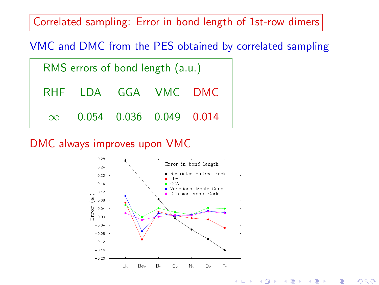Correlated sampling: Error in bond length of 1st-row dimers

VMC and DMC from the PES obtained by correlated sampling

| RMS errors of bond length (a.u.) |                     |                         |  |  |
|----------------------------------|---------------------|-------------------------|--|--|
|                                  | RHF LDA GGA VMC DMC |                         |  |  |
| $\infty$                         |                     | 0.054 0.036 0.049 0.014 |  |  |

DMC always improves upon VMC

<span id="page-31-0"></span>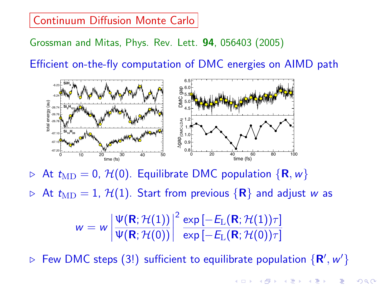#### **Continuum Diffusion Monte Carlo** namics since we found only matches we found only matches we found only matches we found on the DMC  $\overline{\phantom{a}}$  denote the individual snapshots from individual snapshots from individual snapshots from individual snapshots from individual snapshots from individual snapshots from individual snapshots from individual snaps

thermostat was turned off and data recorded. For simplic-

Grossman and Mitas, Phys. Rev. Lett. 94, 056403 (2005) three cluster sizes. Furthermore, both the correct average lation every 100 MD steps using the same number of

Efficient on-the-fly computation of DMC energies on AIMD path on of DMC energies on AIMD path

overhead beyond AIMD (i.e., a factor of 2 or less), a factor of 2 or less), a very problem of 2 or less), a ve



At  $t_{\text{MD}} = 0$ ,  $\mathcal{H}(0)$ . Equilibrate DMC population  $\{R, w\}$ the discretely sampled DMC energies throughout.

 $\triangleright$  At  $t_{\rm MD}=1,$   ${\cal H}(1).$  Start from previous  $\{ {\bm R} \}$  and adjust  $w$  as

$$
w=w\left|\frac{\Psi(\mathbf{R};\mathcal{H}(1))}{\Psi(\mathbf{R};\mathcal{H}(0))}\right|^2\frac{\exp\left[-E_{\rm L}(\mathbf{R};\mathcal{H}(1))\tau\right]}{\exp\left[-E_{\rm L}(\mathbf{R};\mathcal{H}(0))\tau\right]}
$$

<span id="page-32-0"></span> $\triangleright$  Few DMC steps (3!) sufficient to equilibrate population  $\{ {\sf R}', w' \}$ 

temperature affects both [DFT](#page-31-0) [and](#page-33-0) D[MC](#page-32-0) average smaller by interesting and DMC average smaller by interesting and D<br>DMC average gaps are smaller by interesting and DMC average smaller and DMC and DMC average smaller [with](#page-38-0) a s

 $f(x) = \frac{1}{2} \cos(\theta)$  $\mathcal{F}$  =  $\mathcal{F}$  (PBE)  $\mathcal{F}$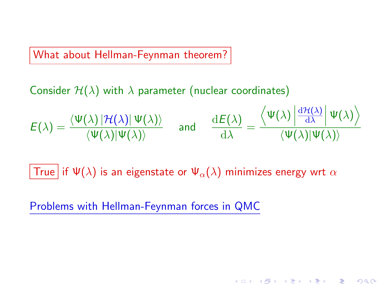What about Hellman-Feynman theorem?

Consider  $H(\lambda)$  with  $\lambda$  parameter (nuclear coordinates)

$$
E(\lambda) = \frac{\langle \Psi(\lambda) | \mathcal{H}(\lambda) | \Psi(\lambda) \rangle}{\langle \Psi(\lambda) | \Psi(\lambda) \rangle} \quad \text{ and } \quad \frac{\mathrm{d}E(\lambda)}{\mathrm{d}\lambda} = \frac{\langle \Psi(\lambda) | \frac{\mathrm{d}\mathcal{H}(\lambda)}{\mathrm{d}\lambda} | \Psi(\lambda) \rangle}{\langle \Psi(\lambda) | \Psi(\lambda) \rangle}
$$

(ロ) (御) (君) (君) (君) 君 のぬの

True if  $\Psi(\lambda)$  is an eigenstate or  $\Psi_\alpha(\lambda)$  minimizes energy wrt  $\alpha$ 

<span id="page-33-0"></span>Problems with Hellman-Feynman forces in QMC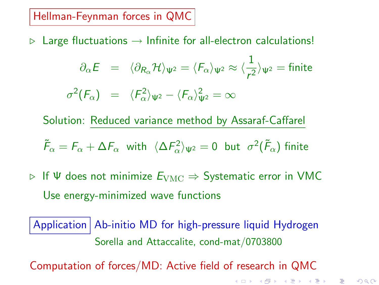Hellman-Feynman forces in QMC

 $\triangleright$  Large fluctuations  $\rightarrow$  Infinite for all-electron calculations!

$$
\partial_{\alpha} E = \langle \partial_{R_{\alpha}} \mathcal{H} \rangle_{\Psi^2} = \langle F_{\alpha} \rangle_{\Psi^2} \approx \langle \frac{1}{r^2} \rangle_{\Psi^2} = \text{finite}
$$

$$
\sigma^2(F_{\alpha}) = \langle F_{\alpha}^2 \rangle_{\Psi^2} - \langle F_{\alpha} \rangle_{\Psi^2}^2 = \infty
$$

Solution: Reduced variance method by Assaraf-Caffarel

$$
\tilde{F}_{\alpha} = F_{\alpha} + \Delta F_{\alpha}
$$
 with  $\langle \Delta F_{\alpha}^2 \rangle_{\Psi^2} = 0$  but  $\sigma^2(\tilde{F}_{\alpha})$  finite

 $\triangleright$  If  $\Psi$  does not minimize  $E_{\text{VMC}} \Rightarrow$  Systematic error in VMC Use energy-minimized wave functions

Application Ab-initio MD for high-pressure liquid Hydrogen Sorella and Attaccalite, cond-mat/0703800

Computation of forces/MD: Active field of research in QMC

K ロ K K @ K K X B X X B X X B X

 $299$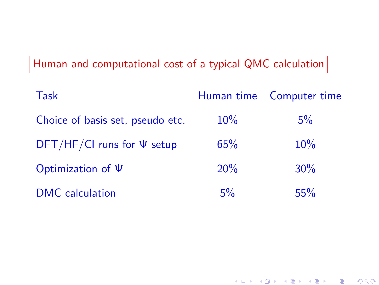| <b>Task</b>                       |        | Human time Computer time |
|-----------------------------------|--------|--------------------------|
| Choice of basis set, pseudo etc.  | $10\%$ | $5\%$                    |
| $DFT/HF/CI$ runs for $\Psi$ setup | 65%    | 10%                      |
| Optimization of $\Psi$            | 20%    | 30%                      |
| DMC calculation                   | 5%     | 55%                      |

네 ロ ▶ 네 레 ▶ 네 코 ▶ 네 코 ▶ │ 코 │ 19 Q Q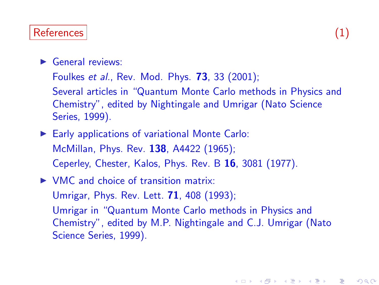# References (1) and the contract of the contract of the contract of the contract of the contract of the contract of the contract of the contract of the contract of the contract of the contract of the contract of the contrac

- $\blacktriangleright$  General reviews:
	- Foulkes et al., Rev. Mod. Phys. 73, 33 (2001);
	- Several articles in "Quantum Monte Carlo methods in Physics and Chemistry", edited by Nightingale and Umrigar (Nato Science Series, 1999).
- Early applications of variational Monte Carlo: McMillan, Phys. Rev. 138, A4422 (1965); Ceperley, Chester, Kalos, Phys. Rev. B 16, 3081 (1977).
- $\triangleright$  VMC and choice of transition matrix: Umrigar, Phys. Rev. Lett. 71, 408 (1993); Umrigar in "Quantum Monte Carlo methods in Physics and Chemistry", edited by M.P. Nightingale and C.J. Umrigar (Nato Science Series, 1999).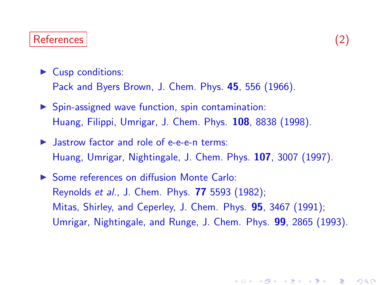### References (2)

 $\blacktriangleright$  Cusp conditions:

Pack and Byers Brown, J. Chem. Phys. 45, 556 (1966).

- $\triangleright$  Spin-assigned wave function, spin contamination: Huang, Filippi, Umrigar, J. Chem. Phys. 108, 8838 (1998).
- $\blacktriangleright$  Jastrow factor and role of e-e-e-n terms: Huang, Umrigar, Nightingale, J. Chem. Phys. 107, 3007 (1997).
- ▶ Some references on diffusion Monte Carlo: Reynolds et al., J. Chem. Phys. 77 5593 (1982); Mitas, Shirley, and Ceperley, J. Chem. Phys. 95, 3467 (1991); Umrigar, Nightingale, and Runge, J. Chem. Phys. 99, 2865 (1993).